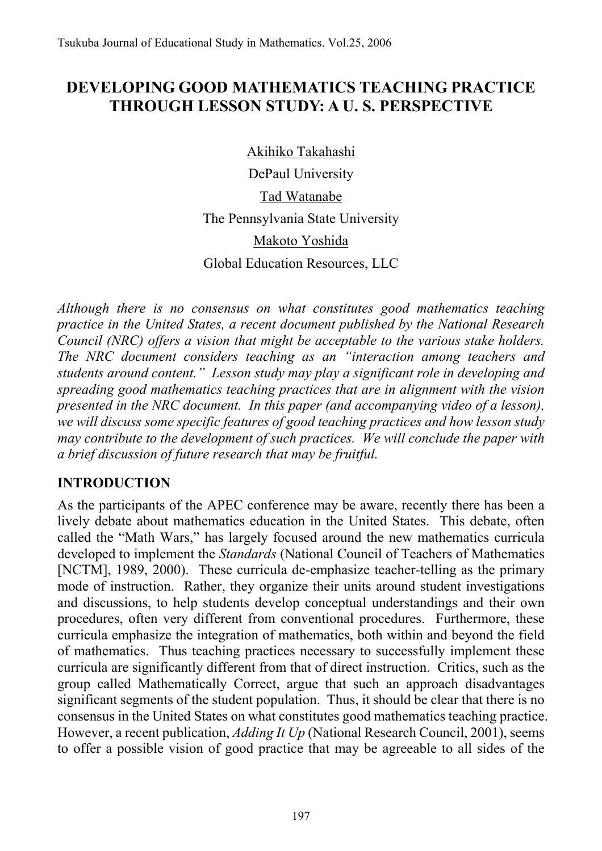# **DEVELOPING GOOD MATHEMATICS TEACHING PRACTICE THROUGH LESSON STUDY: A U. S. PERSPECTIVE**

Akihiko Takahashi

DePaul University Tad Watanabe The Pennsylvania State University Makoto Yoshida Global Education Resources, LLC

*Although there is no consensus on what constitutes good mathematics teaching practice in the United States, a recent document published by the National Research Council (NRC) offers a vision that might be acceptable to the various stake holders. The NRC document considers teaching as an "interaction among teachers and students around content." Lesson study may play a significant role in developing and spreading good mathematics teaching practices that are in alignment with the vision presented in the NRC document. In this paper (and accompanying video of a lesson), we will discuss some specific features of good teaching practices and how lesson study may contribute to the development of such practices. We will conclude the paper with a brief discussion of future research that may be fruitful.* 

# **INTRODUCTION**

As the participants of the APEC conference may be aware, recently there has been a lively debate about mathematics education in the United States. This debate, often called the "Math Wars," has largely focused around the new mathematics curricula developed to implement the *Standards* (National Council of Teachers of Mathematics [NCTM], 1989, 2000). These curricula de-emphasize teacher-telling as the primary mode of instruction. Rather, they organize their units around student investigations and discussions, to help students develop conceptual understandings and their own procedures, often very different from conventional procedures. Furthermore, these curricula emphasize the integration of mathematics, both within and beyond the field of mathematics. Thus teaching practices necessary to successfully implement these curricula are significantly different from that of direct instruction. Critics, such as the group called Mathematically Correct, argue that such an approach disadvantages significant segments of the student population. Thus, it should be clear that there is no consensus in the United States on what constitutes good mathematics teaching practice. However, a recent publication, *Adding It Up* (National Research Council, 2001), seems to offer a possible vision of good practice that may be agreeable to all sides of the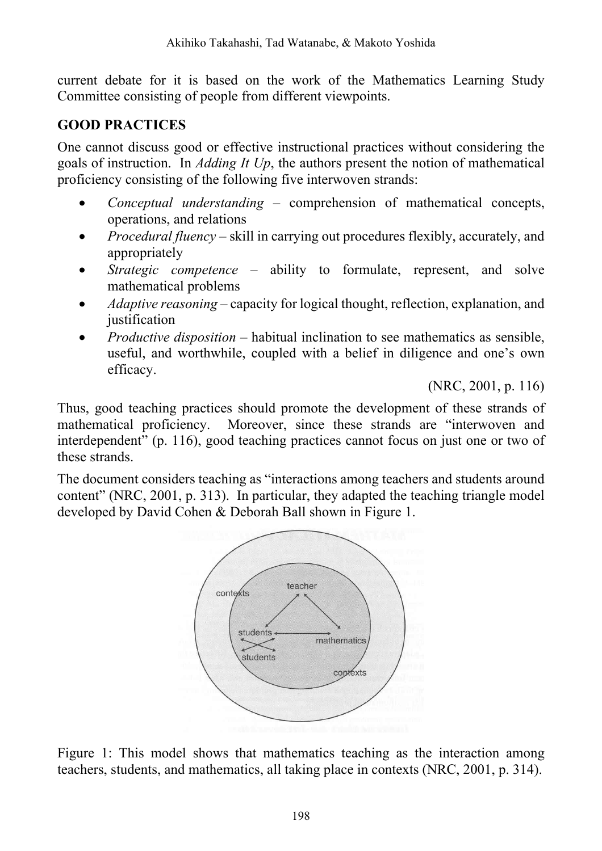current debate for it is based on the work of the Mathematics Learning Study Committee consisting of people from different viewpoints.

#### **GOOD PRACTICES**

One cannot discuss good or effective instructional practices without considering the goals of instruction. In *Adding It Up*, the authors present the notion of mathematical proficiency consisting of the following five interwoven strands:

- *Conceptual understanding* comprehension of mathematical concepts, operations, and relations
- *Procedural fluency* skill in carrying out procedures flexibly, accurately, and appropriately
- *Strategic competence* ability to formulate, represent, and solve mathematical problems
- *Adaptive reasoning* capacity for logical thought, reflection, explanation, and justification
- *Productive disposition* habitual inclination to see mathematics as sensible, useful, and worthwhile, coupled with a belief in diligence and one's own efficacy.

(NRC, 2001, p. 116)

Thus, good teaching practices should promote the development of these strands of mathematical proficiency. Moreover, since these strands are "interwoven and interdependent" (p. 116), good teaching practices cannot focus on just one or two of these strands.

The document considers teaching as "interactions among teachers and students around content" (NRC, 2001, p. 313). In particular, they adapted the teaching triangle model developed by David Cohen & Deborah Ball shown in Figure 1.



Figure 1: This model shows that mathematics teaching as the interaction among teachers, students, and mathematics, all taking place in contexts (NRC, 2001, p. 314).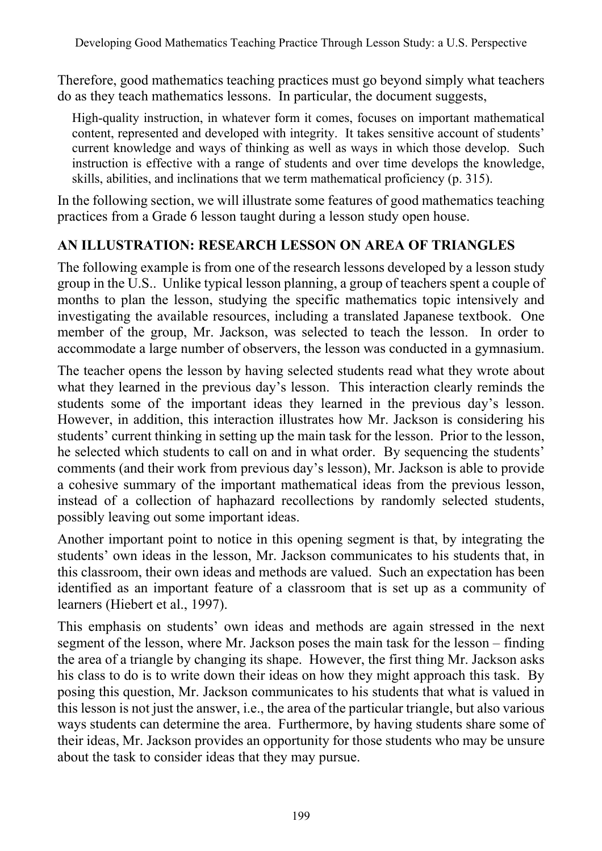Therefore, good mathematics teaching practices must go beyond simply what teachers do as they teach mathematics lessons. In particular, the document suggests,

High-quality instruction, in whatever form it comes, focuses on important mathematical content, represented and developed with integrity. It takes sensitive account of students' current knowledge and ways of thinking as well as ways in which those develop. Such instruction is effective with a range of students and over time develops the knowledge, skills, abilities, and inclinations that we term mathematical proficiency (p. 315).

In the following section, we will illustrate some features of good mathematics teaching practices from a Grade 6 lesson taught during a lesson study open house.

# **AN ILLUSTRATION: RESEARCH LESSON ON AREA OF TRIANGLES**

The following example is from one of the research lessons developed by a lesson study group in the U.S.. Unlike typical lesson planning, a group of teachers spent a couple of months to plan the lesson, studying the specific mathematics topic intensively and investigating the available resources, including a translated Japanese textbook. One member of the group, Mr. Jackson, was selected to teach the lesson. In order to accommodate a large number of observers, the lesson was conducted in a gymnasium.

The teacher opens the lesson by having selected students read what they wrote about what they learned in the previous day's lesson. This interaction clearly reminds the students some of the important ideas they learned in the previous day's lesson. However, in addition, this interaction illustrates how Mr. Jackson is considering his students' current thinking in setting up the main task for the lesson. Prior to the lesson, he selected which students to call on and in what order. By sequencing the students' comments (and their work from previous day's lesson), Mr. Jackson is able to provide a cohesive summary of the important mathematical ideas from the previous lesson, instead of a collection of haphazard recollections by randomly selected students, possibly leaving out some important ideas.

Another important point to notice in this opening segment is that, by integrating the students' own ideas in the lesson, Mr. Jackson communicates to his students that, in this classroom, their own ideas and methods are valued. Such an expectation has been identified as an important feature of a classroom that is set up as a community of learners (Hiebert et al., 1997).

This emphasis on students' own ideas and methods are again stressed in the next segment of the lesson, where Mr. Jackson poses the main task for the lesson – finding the area of a triangle by changing its shape. However, the first thing Mr. Jackson asks his class to do is to write down their ideas on how they might approach this task. By posing this question, Mr. Jackson communicates to his students that what is valued in this lesson is not just the answer, i.e., the area of the particular triangle, but also various ways students can determine the area. Furthermore, by having students share some of their ideas, Mr. Jackson provides an opportunity for those students who may be unsure about the task to consider ideas that they may pursue.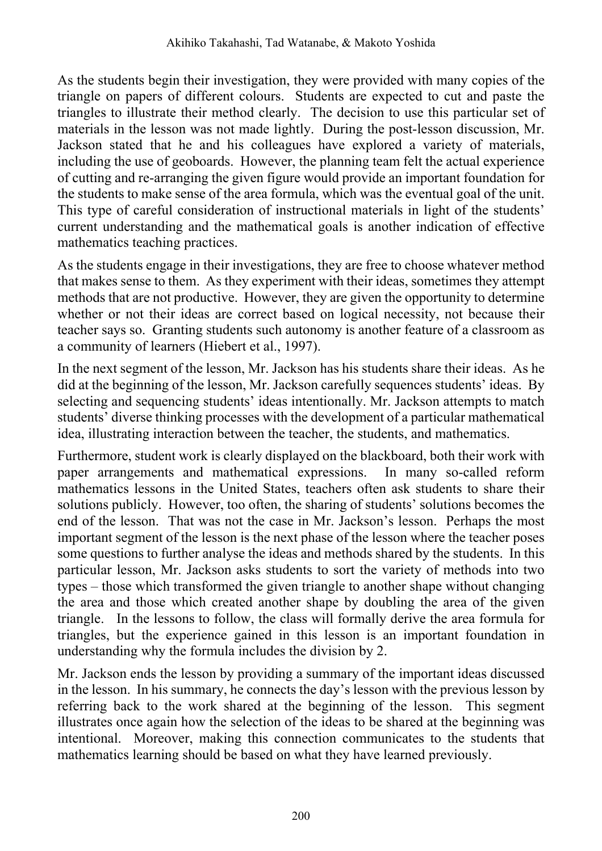As the students begin their investigation, they were provided with many copies of the triangle on papers of different colours. Students are expected to cut and paste the triangles to illustrate their method clearly. The decision to use this particular set of materials in the lesson was not made lightly. During the post-lesson discussion, Mr. Jackson stated that he and his colleagues have explored a variety of materials, including the use of geoboards. However, the planning team felt the actual experience of cutting and re-arranging the given figure would provide an important foundation for the students to make sense of the area formula, which was the eventual goal of the unit. This type of careful consideration of instructional materials in light of the students' current understanding and the mathematical goals is another indication of effective mathematics teaching practices.

As the students engage in their investigations, they are free to choose whatever method that makes sense to them. As they experiment with their ideas, sometimes they attempt methods that are not productive. However, they are given the opportunity to determine whether or not their ideas are correct based on logical necessity, not because their teacher says so. Granting students such autonomy is another feature of a classroom as a community of learners (Hiebert et al., 1997).

In the next segment of the lesson, Mr. Jackson has his students share their ideas. As he did at the beginning of the lesson, Mr. Jackson carefully sequences students' ideas. By selecting and sequencing students' ideas intentionally. Mr. Jackson attempts to match students' diverse thinking processes with the development of a particular mathematical idea, illustrating interaction between the teacher, the students, and mathematics.

Furthermore, student work is clearly displayed on the blackboard, both their work with paper arrangements and mathematical expressions. In many so-called reform mathematics lessons in the United States, teachers often ask students to share their solutions publicly. However, too often, the sharing of students' solutions becomes the end of the lesson. That was not the case in Mr. Jackson's lesson. Perhaps the most important segment of the lesson is the next phase of the lesson where the teacher poses some questions to further analyse the ideas and methods shared by the students. In this particular lesson, Mr. Jackson asks students to sort the variety of methods into two types – those which transformed the given triangle to another shape without changing the area and those which created another shape by doubling the area of the given triangle. In the lessons to follow, the class will formally derive the area formula for triangles, but the experience gained in this lesson is an important foundation in understanding why the formula includes the division by 2.

Mr. Jackson ends the lesson by providing a summary of the important ideas discussed in the lesson. In his summary, he connects the day's lesson with the previous lesson by referring back to the work shared at the beginning of the lesson. This segment illustrates once again how the selection of the ideas to be shared at the beginning was intentional. Moreover, making this connection communicates to the students that mathematics learning should be based on what they have learned previously.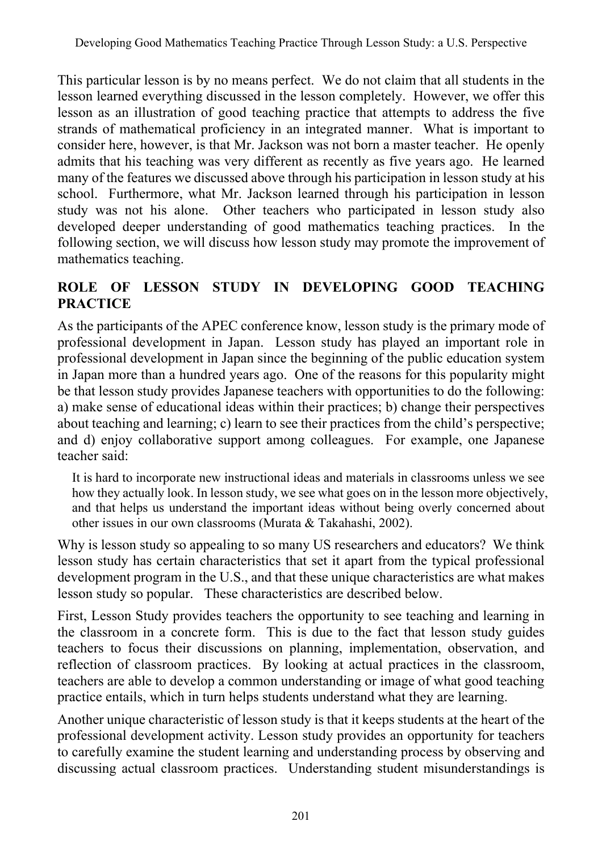This particular lesson is by no means perfect. We do not claim that all students in the lesson learned everything discussed in the lesson completely. However, we offer this lesson as an illustration of good teaching practice that attempts to address the five strands of mathematical proficiency in an integrated manner. What is important to consider here, however, is that Mr. Jackson was not born a master teacher. He openly admits that his teaching was very different as recently as five years ago. He learned many of the features we discussed above through his participation in lesson study at his school. Furthermore, what Mr. Jackson learned through his participation in lesson study was not his alone. Other teachers who participated in lesson study also developed deeper understanding of good mathematics teaching practices. In the following section, we will discuss how lesson study may promote the improvement of mathematics teaching.

#### **ROLE OF LESSON STUDY IN DEVELOPING GOOD TEACHING PRACTICE**

As the participants of the APEC conference know, lesson study is the primary mode of professional development in Japan. Lesson study has played an important role in professional development in Japan since the beginning of the public education system in Japan more than a hundred years ago. One of the reasons for this popularity might be that lesson study provides Japanese teachers with opportunities to do the following: a) make sense of educational ideas within their practices; b) change their perspectives about teaching and learning; c) learn to see their practices from the child's perspective; and d) enjoy collaborative support among colleagues. For example, one Japanese teacher said:

It is hard to incorporate new instructional ideas and materials in classrooms unless we see how they actually look. In lesson study, we see what goes on in the lesson more objectively, and that helps us understand the important ideas without being overly concerned about other issues in our own classrooms (Murata & Takahashi, 2002).

Why is lesson study so appealing to so many US researchers and educators? We think lesson study has certain characteristics that set it apart from the typical professional development program in the U.S., and that these unique characteristics are what makes lesson study so popular. These characteristics are described below.

First, Lesson Study provides teachers the opportunity to see teaching and learning in the classroom in a concrete form. This is due to the fact that lesson study guides teachers to focus their discussions on planning, implementation, observation, and reflection of classroom practices. By looking at actual practices in the classroom, teachers are able to develop a common understanding or image of what good teaching practice entails, which in turn helps students understand what they are learning.

Another unique characteristic of lesson study is that it keeps students at the heart of the professional development activity. Lesson study provides an opportunity for teachers to carefully examine the student learning and understanding process by observing and discussing actual classroom practices. Understanding student misunderstandings is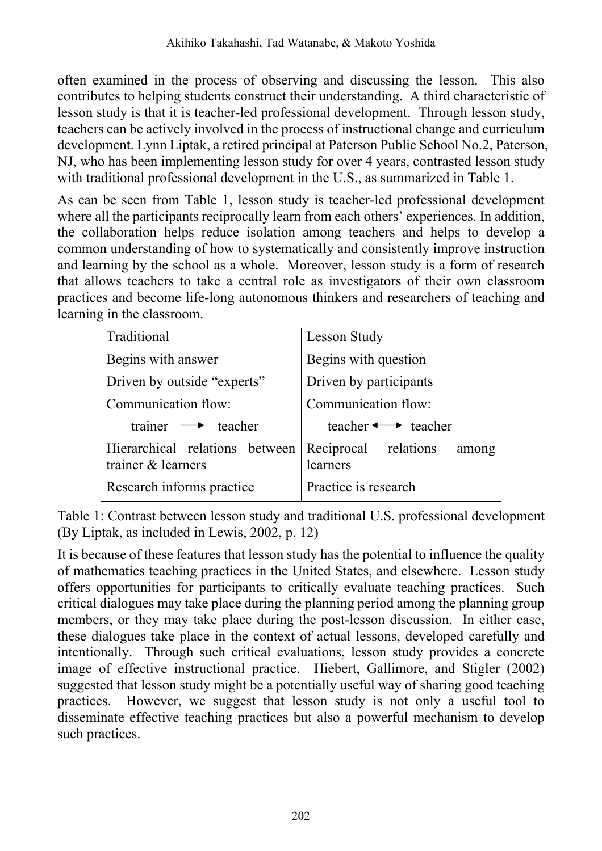often examined in the process of observing and discussing the lesson. This also contributes to helping students construct their understanding. A third characteristic of lesson study is that it is teacher-led professional development. Through lesson study, teachers can be actively involved in the process of instructional change and curriculum development. Lynn Liptak, a retired principal at Paterson Public School No.2, Paterson, NJ, who has been implementing lesson study for over 4 years, contrasted lesson study with traditional professional development in the U.S., as summarized in Table 1.

As can be seen from Table 1, lesson study is teacher-led professional development where all the participants reciprocally learn from each others' experiences. In addition, the collaboration helps reduce isolation among teachers and helps to develop a common understanding of how to systematically and consistently improve instruction and learning by the school as a whole. Moreover, lesson study is a form of research that allows teachers to take a central role as investigators of their own classroom practices and become life-long autonomous thinkers and researchers of teaching and learning in the classroom.

| Traditional                                          | <b>Lesson Study</b>                       |
|------------------------------------------------------|-------------------------------------------|
| Begins with answer                                   | Begins with question                      |
| Driven by outside "experts"                          | Driven by participants                    |
| Communication flow:                                  | Communication flow:                       |
| trainer $\longrightarrow$ teacher                    | teacher $\longleftrightarrow$ teacher     |
| Hierarchical relations between<br>trainer & learners | Reciprocal relations<br>among<br>learners |
| Research informs practice                            | Practice is research                      |

Table 1: Contrast between lesson study and traditional U.S. professional development (By Liptak, as included in Lewis, 2002, p. 12)

It is because of these features that lesson study has the potential to influence the quality of mathematics teaching practices in the United States, and elsewhere. Lesson study offers opportunities for participants to critically evaluate teaching practices. Such critical dialogues may take place during the planning period among the planning group members, or they may take place during the post-lesson discussion. In either case, these dialogues take place in the context of actual lessons, developed carefully and intentionally. Through such critical evaluations, lesson study provides a concrete image of effective instructional practice. Hiebert, Gallimore, and Stigler (2002) suggested that lesson study might be a potentially useful way of sharing good teaching practices. However, we suggest that lesson study is not only a useful tool to disseminate effective teaching practices but also a powerful mechanism to develop such practices.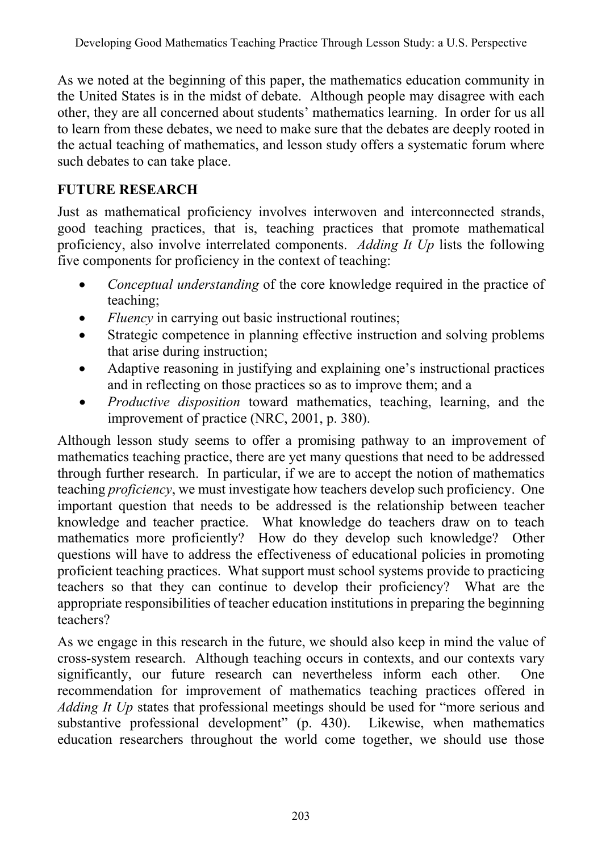As we noted at the beginning of this paper, the mathematics education community in the United States is in the midst of debate. Although people may disagree with each other, they are all concerned about students' mathematics learning. In order for us all to learn from these debates, we need to make sure that the debates are deeply rooted in the actual teaching of mathematics, and lesson study offers a systematic forum where such debates to can take place.

### **FUTURE RESEARCH**

Just as mathematical proficiency involves interwoven and interconnected strands, good teaching practices, that is, teaching practices that promote mathematical proficiency, also involve interrelated components. *Adding It Up* lists the following five components for proficiency in the context of teaching:

- *Conceptual understanding* of the core knowledge required in the practice of teaching;
- *Fluency* in carrying out basic instructional routines;
- Strategic competence in planning effective instruction and solving problems that arise during instruction;
- Adaptive reasoning in justifying and explaining one's instructional practices and in reflecting on those practices so as to improve them; and a
- *Productive disposition* toward mathematics, teaching, learning, and the improvement of practice (NRC, 2001, p. 380).

Although lesson study seems to offer a promising pathway to an improvement of mathematics teaching practice, there are yet many questions that need to be addressed through further research. In particular, if we are to accept the notion of mathematics teaching *proficiency*, we must investigate how teachers develop such proficiency. One important question that needs to be addressed is the relationship between teacher knowledge and teacher practice. What knowledge do teachers draw on to teach mathematics more proficiently? How do they develop such knowledge? Other questions will have to address the effectiveness of educational policies in promoting proficient teaching practices. What support must school systems provide to practicing teachers so that they can continue to develop their proficiency? What are the appropriate responsibilities of teacher education institutions in preparing the beginning teachers?

As we engage in this research in the future, we should also keep in mind the value of cross-system research. Although teaching occurs in contexts, and our contexts vary significantly, our future research can nevertheless inform each other. One recommendation for improvement of mathematics teaching practices offered in *Adding It Up* states that professional meetings should be used for "more serious and substantive professional development" (p. 430). Likewise, when mathematics education researchers throughout the world come together, we should use those